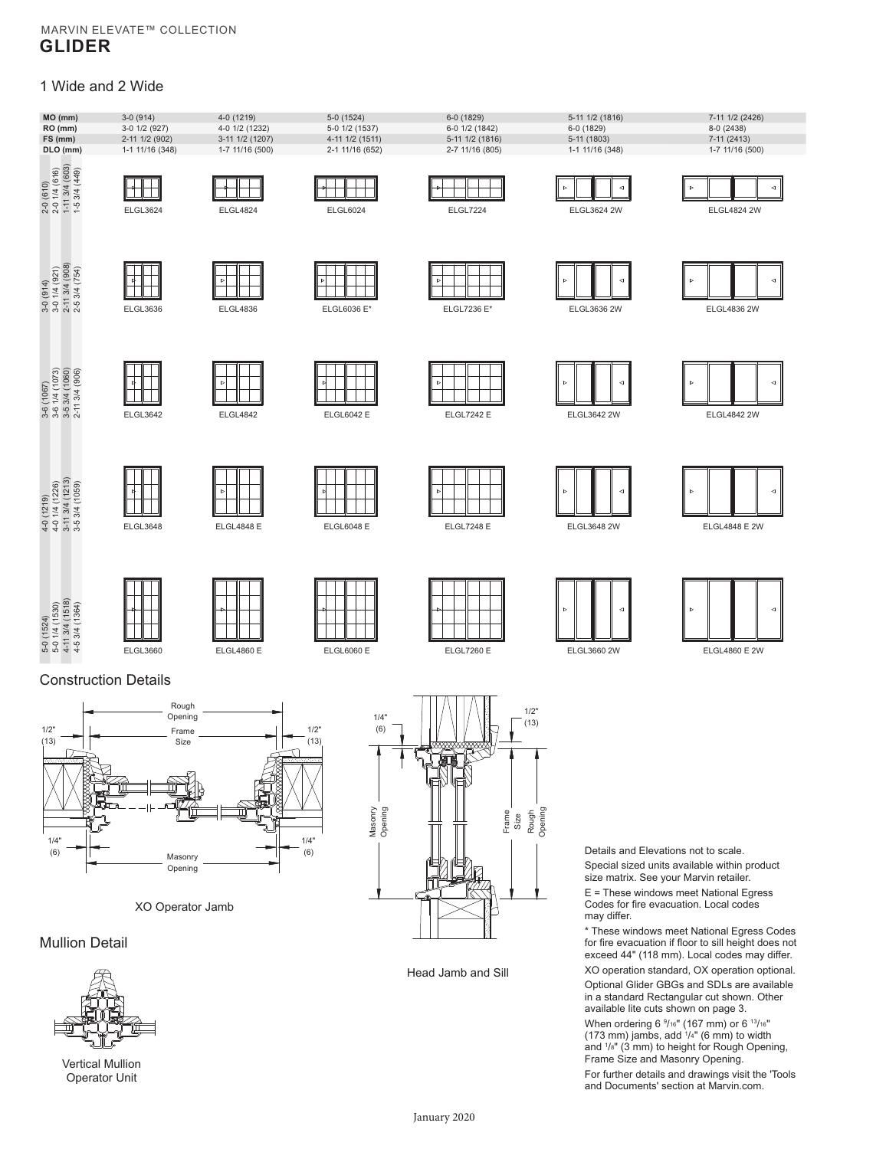## MARVIN ELEVATE™ COLLECTION **GLIDER**

# 1 Wide and 2 Wide





XO Operator Jamb

Mullion Detail



Vertical Mullion Operator Unit



Head Jamb and Sill

Details and Elevations not to scale. Special sized units available within product size matrix. See your Marvin retailer. E = These windows meet National Egress

Codes for fire evacuation. Local codes may differ.

\* These windows meet National Egress Codes for fire evacuation if floor to sill height does not exceed 44" (118 mm). Local codes may differ.

XO operation standard, OX operation optional. Optional Glider GBGs and SDLs are available in a standard Rectangular cut shown. Other available lite cuts shown on page 3.

When ordering 6  $9/16$ " (167 mm) or 6  $13/16$ "  $(173 \text{ mm})$  jambs, add  $1/4$ " (6 mm) to width and 1 /8" (3 mm) to height for Rough Opening, Frame Size and Masonry Opening. For further details and drawings visit the 'Tools

and Documents' section at Marvin.com.